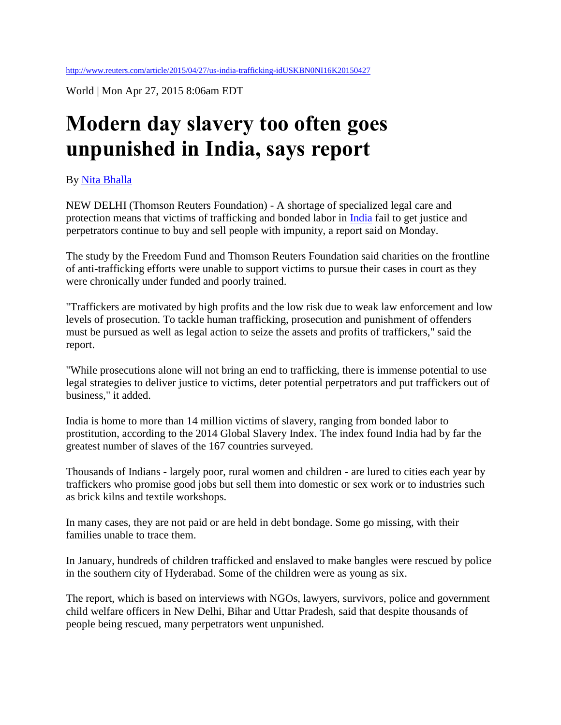World | Mon Apr 27, 2015 8:06am EDT

## **Modern day slavery too often goes unpunished in India, says report**

By [Nita Bhalla](http://blogs.reuters.com/search/journalist.php?edition=us&n=nita.bhalla&)

NEW DELHI (Thomson Reuters Foundation) - A shortage of specialized legal care and protection means that victims of trafficking and bonded labor in [India](http://in.reuters.com/) fail to get justice and perpetrators continue to buy and sell people with impunity, a report said on Monday.

The study by the Freedom Fund and Thomson Reuters Foundation said charities on the frontline of anti-trafficking efforts were unable to support victims to pursue their cases in court as they were chronically under funded and poorly trained.

"Traffickers are motivated by high profits and the low risk due to weak law enforcement and low levels of prosecution. To tackle human trafficking, prosecution and punishment of offenders must be pursued as well as legal action to seize the assets and profits of traffickers," said the report.

"While prosecutions alone will not bring an end to trafficking, there is immense potential to use legal strategies to deliver justice to victims, deter potential perpetrators and put traffickers out of business," it added.

India is home to more than 14 million victims of slavery, ranging from bonded labor to prostitution, according to the 2014 Global Slavery Index. The index found India had by far the greatest number of slaves of the 167 countries surveyed.

Thousands of Indians - largely poor, rural women and children - are lured to cities each year by traffickers who promise good jobs but sell them into domestic or sex work or to industries such as brick kilns and textile workshops.

In many cases, they are not paid or are held in debt bondage. Some go missing, with their families unable to trace them.

In January, hundreds of children trafficked and enslaved to make bangles were rescued by police in the southern city of Hyderabad. Some of the children were as young as six.

The report, which is based on interviews with NGOs, lawyers, survivors, police and government child welfare officers in New Delhi, Bihar and Uttar Pradesh, said that despite thousands of people being rescued, many perpetrators went unpunished.